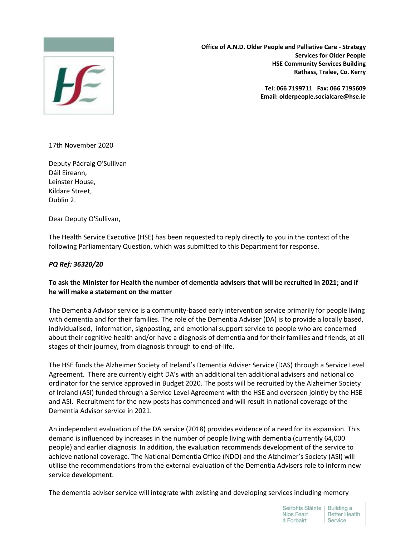

**Office of A.N.D. Older People and Palliative Care - Strategy Services for Older People HSE Community Services Building Rathass, Tralee, Co. Kerry**

> **Tel: 066 7199711 Fax: 066 7195609 Email: olderpeople.socialcare@hse.ie**

17th November 2020

Deputy Pádraig O'Sullivan Dáil Eireann, Leinster House, Kildare Street, Dublin 2.

Dear Deputy O'Sullivan,

The Health Service Executive (HSE) has been requested to reply directly to you in the context of the following Parliamentary Question, which was submitted to this Department for response.

## *PQ Ref: 36320/20*

## **To ask the Minister for Health the number of dementia advisers that will be recruited in 2021; and if he will make a statement on the matter**

The Dementia Advisor service is a community-based early intervention service primarily for people living with dementia and for their families. The role of the Dementia Adviser (DA) is to provide a locally based, individualised, information, signposting, and emotional support service to people who are concerned about their cognitive health and/or have a diagnosis of dementia and for their families and friends, at all stages of their journey, from diagnosis through to end-of-life.

The HSE funds the Alzheimer Society of Ireland's Dementia Adviser Service (DAS) through a Service Level Agreement. There are currently eight DA's with an additional ten additional advisers and national co ordinator for the service approved in Budget 2020. The posts will be recruited by the Alzheimer Society of Ireland (ASI) funded through a Service Level Agreement with the HSE and overseen jointly by the HSE and ASI. Recruitment for the new posts has commenced and will result in national coverage of the Dementia Advisor service in 2021.

An independent evaluation of the DA service (2018) provides evidence of a need for its expansion. This demand is influenced by increases in the number of people living with dementia (currently 64,000 people) and earlier diagnosis. In addition, the evaluation recommends development of the service to achieve national coverage. The National Dementia Office (NDO) and the Alzheimer's Society (ASI) will utilise the recommendations from the external evaluation of the Dementia Advisers role to inform new service development.

The dementia adviser service will integrate with existing and developing services including memory

Seirbhís Sláinte | Building a Níos Fearr á Forbairt

**Better Health** Service